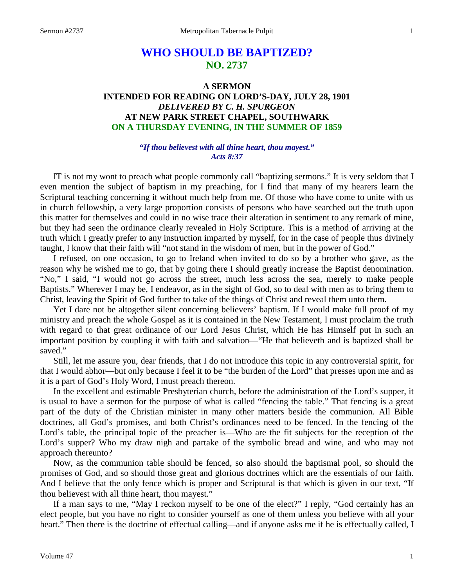# **WHO SHOULD BE BAPTIZED? NO. 2737**

# **A SERMON INTENDED FOR READING ON LORD'S-DAY, JULY 28, 1901** *DELIVERED BY C. H. SPURGEON* **AT NEW PARK STREET CHAPEL, SOUTHWARK ON A THURSDAY EVENING, IN THE SUMMER OF 1859**

## *"If thou believest with all thine heart, thou mayest." Acts 8:37*

IT is not my wont to preach what people commonly call "baptizing sermons." It is very seldom that I even mention the subject of baptism in my preaching, for I find that many of my hearers learn the Scriptural teaching concerning it without much help from me. Of those who have come to unite with us in church fellowship, a very large proportion consists of persons who have searched out the truth upon this matter for themselves and could in no wise trace their alteration in sentiment to any remark of mine, but they had seen the ordinance clearly revealed in Holy Scripture. This is a method of arriving at the truth which I greatly prefer to any instruction imparted by myself, for in the case of people thus divinely taught, I know that their faith will "not stand in the wisdom of men, but in the power of God."

I refused, on one occasion, to go to Ireland when invited to do so by a brother who gave, as the reason why he wished me to go, that by going there I should greatly increase the Baptist denomination. "No," I said, "I would not go across the street, much less across the sea, merely to make people Baptists." Wherever I may be, I endeavor, as in the sight of God, so to deal with men as to bring them to Christ, leaving the Spirit of God further to take of the things of Christ and reveal them unto them.

Yet I dare not be altogether silent concerning believers' baptism. If I would make full proof of my ministry and preach the whole Gospel as it is contained in the New Testament, I must proclaim the truth with regard to that great ordinance of our Lord Jesus Christ, which He has Himself put in such an important position by coupling it with faith and salvation—"He that believeth and is baptized shall be saved."

Still, let me assure you, dear friends, that I do not introduce this topic in any controversial spirit, for that I would abhor—but only because I feel it to be "the burden of the Lord" that presses upon me and as it is a part of God's Holy Word, I must preach thereon.

In the excellent and estimable Presbyterian church, before the administration of the Lord's supper, it is usual to have a sermon for the purpose of what is called "fencing the table." That fencing is a great part of the duty of the Christian minister in many other matters beside the communion. All Bible doctrines, all God's promises, and both Christ's ordinances need to be fenced. In the fencing of the Lord's table, the principal topic of the preacher is—Who are the fit subjects for the reception of the Lord's supper? Who my draw nigh and partake of the symbolic bread and wine, and who may not approach thereunto?

Now, as the communion table should be fenced, so also should the baptismal pool, so should the promises of God, and so should those great and glorious doctrines which are the essentials of our faith. And I believe that the only fence which is proper and Scriptural is that which is given in our text, "If thou believest with all thine heart, thou mayest."

If a man says to me, "May I reckon myself to be one of the elect?" I reply, "God certainly has an elect people, but you have no right to consider yourself as one of them unless you believe with all your heart." Then there is the doctrine of effectual calling—and if anyone asks me if he is effectually called, I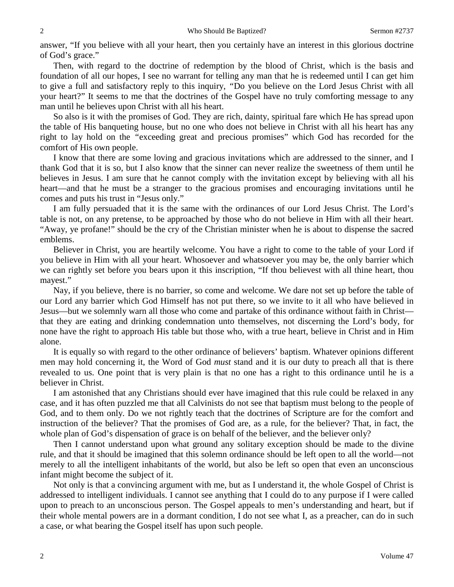answer, "If you believe with all your heart, then you certainly have an interest in this glorious doctrine of God's grace."

Then, with regard to the doctrine of redemption by the blood of Christ, which is the basis and foundation of all our hopes, I see no warrant for telling any man that he is redeemed until I can get him to give a full and satisfactory reply to this inquiry, *"*Do you believe on the Lord Jesus Christ with all your heart?" It seems to me that the doctrines of the Gospel have no truly comforting message to any man until he believes upon Christ with all his heart.

So also is it with the promises of God. They are rich, dainty, spiritual fare which He has spread upon the table of His banqueting house, but no one who does not believe in Christ with all his heart has any right to lay hold on the *"*exceeding great and precious promises" which God has recorded for the comfort of His own people.

I know that there are some loving and gracious invitations which are addressed to the sinner, and I thank God that it is so, but I also know that the sinner can never realize the sweetness of them until he believes in Jesus. I am sure that he cannot comply with the invitation except by believing with all his heart—and that he must be a stranger to the gracious promises and encouraging invitations until he comes and puts his trust in "Jesus only."

I am fully persuaded that it is the same with the ordinances of our Lord Jesus Christ. The Lord's table is not, on any pretense, to be approached by those who do not believe in Him with all their heart. "Away, ye profane!" should be the cry of the Christian minister when he is about to dispense the sacred emblems.

Believer in Christ, you are heartily welcome. You have a right to come to the table of your Lord if you believe in Him with all your heart. Whosoever and whatsoever you may be, the only barrier which we can rightly set before you bears upon it this inscription, "If thou believest with all thine heart, thou mayest."

Nay, if you believe, there is no barrier, so come and welcome. We dare not set up before the table of our Lord any barrier which God Himself has not put there, so we invite to it all who have believed in Jesus—but we solemnly warn all those who come and partake of this ordinance without faith in Christ that they are eating and drinking condemnation unto themselves, not discerning the Lord's body, for none have the right to approach His table but those who, with a true heart, believe in Christ and in Him alone.

It is equally so with regard to the other ordinance of believers' baptism. Whatever opinions different men may hold concerning it, the Word of God *must* stand and it is our duty to preach all that is there revealed to us. One point that is very plain is that no one has a right to this ordinance until he is a believer in Christ.

I am astonished that any Christians should ever have imagined that this rule could be relaxed in any case, and it has often puzzled me that all Calvinists do not see that baptism must belong to the people of God, and to them only. Do we not rightly teach that the doctrines of Scripture are for the comfort and instruction of the believer? That the promises of God are, as a rule, for the believer? That, in fact, the whole plan of God's dispensation of grace is on behalf of the believer, and the believer only?

Then I cannot understand upon what ground any solitary exception should be made to the divine rule, and that it should be imagined that this solemn ordinance should be left open to all the world—not merely to all the intelligent inhabitants of the world, but also be left so open that even an unconscious infant might become the subject of it.

Not only is that a convincing argument with me, but as I understand it, the whole Gospel of Christ is addressed to intelligent individuals. I cannot see anything that I could do to any purpose if I were called upon to preach to an unconscious person. The Gospel appeals to men's understanding and heart, but if their whole mental powers are in a dormant condition, I do not see what I, as a preacher, can do in such a case, or what bearing the Gospel itself has upon such people.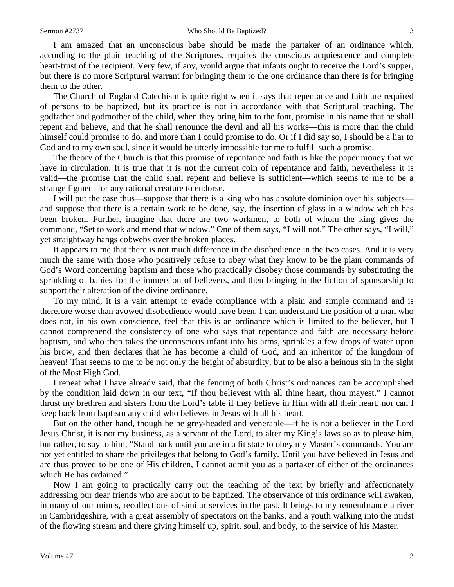I am amazed that an unconscious babe should be made the partaker of an ordinance which, according to the plain teaching of the Scriptures, requires the conscious acquiescence and complete heart-trust of the recipient. Very few, if any, would argue that infants ought to receive the Lord's supper, but there is no more Scriptural warrant for bringing them to the one ordinance than there is for bringing them to the other.

The Church of England Catechism is quite right when it says that repentance and faith are required of persons to be baptized, but its practice is not in accordance with that Scriptural teaching. The godfather and godmother of the child, when they bring him to the font, promise in his name that he shall repent and believe, and that he shall renounce the devil and all his works—this is more than the child himself could promise to do, and more than I could promise to do. Or if I did say so, I should be a liar to God and to my own soul, since it would be utterly impossible for me to fulfill such a promise.

The theory of the Church is that this promise of repentance and faith is like the paper money that we have in circulation. It is true that it is not the current coin of repentance and faith, nevertheless it is valid—the promise that the child shall repent and believe is sufficient—which seems to me to be a strange figment for any rational creature to endorse.

I will put the case thus—suppose that there is a king who has absolute dominion over his subjects and suppose that there is a certain work to be done, say, the insertion of glass in a window which has been broken. Further, imagine that there are two workmen, to both of whom the king gives the command, "Set to work and mend that window." One of them says, "I will not." The other says, "I will," yet straightway hangs cobwebs over the broken places.

It appears to me that there is not much difference in the disobedience in the two cases. And it is very much the same with those who positively refuse to obey what they know to be the plain commands of God's Word concerning baptism and those who practically disobey those commands by substituting the sprinkling of babies for the immersion of believers, and then bringing in the fiction of sponsorship to support their alteration of the divine ordinance.

To my mind, it is a vain attempt to evade compliance with a plain and simple command and is therefore worse than avowed disobedience would have been. I can understand the position of a man who does not, in his own conscience, feel that this is an ordinance which is limited to the believer, but I cannot comprehend the consistency of one who says that repentance and faith are necessary before baptism, and who then takes the unconscious infant into his arms, sprinkles a few drops of water upon his brow, and then declares that he has become a child of God, and an inheritor of the kingdom of heaven! That seems to me to be not only the height of absurdity, but to be also a heinous sin in the sight of the Most High God.

I repeat what I have already said, that the fencing of both Christ's ordinances can be accomplished by the condition laid down in our text, "If thou believest with all thine heart, thou mayest." I cannot thrust my brethren and sisters from the Lord's table if they believe in Him with all their heart, nor can I keep back from baptism any child who believes in Jesus with all his heart.

But on the other hand, though he be grey-headed and venerable—if he is not a believer in the Lord Jesus Christ, it is not my business, as a servant of the Lord, to alter my King's laws so as to please him, but rather, to say to him, "Stand back until you are in a fit state to obey my Master's commands. You are not yet entitled to share the privileges that belong to God's family. Until you have believed in Jesus and are thus proved to be one of His children, I cannot admit you as a partaker of either of the ordinances which He has ordained."

Now I am going to practically carry out the teaching of the text by briefly and affectionately addressing our dear friends who are about to be baptized. The observance of this ordinance will awaken, in many of our minds, recollections of similar services in the past. It brings to my remembrance a river in Cambridgeshire, with a great assembly of spectators on the banks, and a youth walking into the midst of the flowing stream and there giving himself up, spirit, soul, and body, to the service of his Master.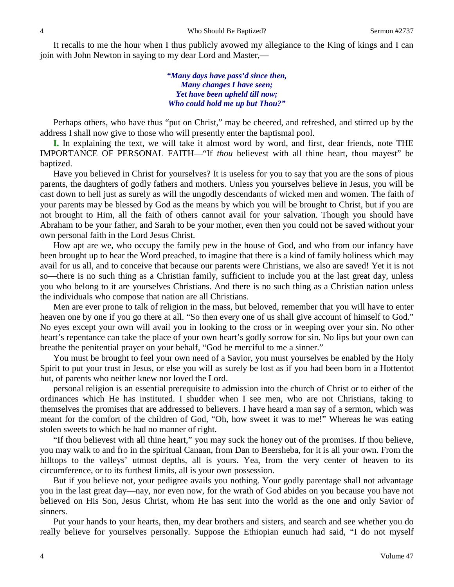It recalls to me the hour when I thus publicly avowed my allegiance to the King of kings and I can join with John Newton in saying to my dear Lord and Master,—

> *"Many days have pass'd since then, Many changes I have seen; Yet have been upheld till now; Who could hold me up but Thou?"*

Perhaps others, who have thus "put on Christ," may be cheered, and refreshed, and stirred up by the address I shall now give to those who will presently enter the baptismal pool.

**I.** In explaining the text, we will take it almost word by word, and first, dear friends, note THE IMPORTANCE OF PERSONAL FAITH—"If *thou* believest with all thine heart, thou mayest" be baptized.

Have you believed in Christ for yourselves? It is useless for you to say that you are the sons of pious parents, the daughters of godly fathers and mothers. Unless you yourselves believe in Jesus, you will be cast down to hell just as surely as will the ungodly descendants of wicked men and women. The faith of your parents may be blessed by God as the means by which you will be brought to Christ, but if you are not brought to Him, all the faith of others cannot avail for your salvation. Though you should have Abraham to be your father, and Sarah to be your mother, even then you could not be saved without your own personal faith in the Lord Jesus Christ.

How apt are we, who occupy the family pew in the house of God, and who from our infancy have been brought up to hear the Word preached, to imagine that there is a kind of family holiness which may avail for us all, and to conceive that because our parents were Christians, we also are saved! Yet it is not so—there is no such thing as a Christian family, sufficient to include you at the last great day, unless you who belong to it are yourselves Christians. And there is no such thing as a Christian nation unless the individuals who compose that nation are all Christians.

Men are ever prone to talk of religion in the mass, but beloved, remember that you will have to enter heaven one by one if you go there at all. "So then every one of us shall give account of himself to God." No eyes except your own will avail you in looking to the cross or in weeping over your sin. No other heart's repentance can take the place of your own heart's godly sorrow for sin. No lips but your own can breathe the penitential prayer on your behalf, "God be merciful to me a sinner."

You must be brought to feel your own need of a Savior, you must yourselves be enabled by the Holy Spirit to put your trust in Jesus, or else you will as surely be lost as if you had been born in a Hottentot hut, of parents who neither knew nor loved the Lord.

personal religion is an essential prerequisite to admission into the church of Christ or to either of the ordinances which He has instituted. I shudder when I see men, who are not Christians, taking to themselves the promises that are addressed to believers. I have heard a man say of a sermon, which was meant for the comfort of the children of God, "Oh, how sweet it was to me!" Whereas he was eating stolen sweets to which he had no manner of right.

"If thou believest with all thine heart," you may suck the honey out of the promises. If thou believe, you may walk to and fro in the spiritual Canaan, from Dan to Beersheba, for it is all your own. From the hilltops to the valleys' utmost depths, all is yours. Yea, from the very center of heaven to its circumference, or to its furthest limits, all is your own possession.

But if you believe not, your pedigree avails you nothing. Your godly parentage shall not advantage you in the last great day—nay, nor even now, for the wrath of God abides on you because you have not believed on His Son, Jesus Christ, whom He has sent into the world as the one and only Savior of sinners.

Put your hands to your hearts, then, my dear brothers and sisters, and search and see whether you do really believe for yourselves personally. Suppose the Ethiopian eunuch had said, "I do not myself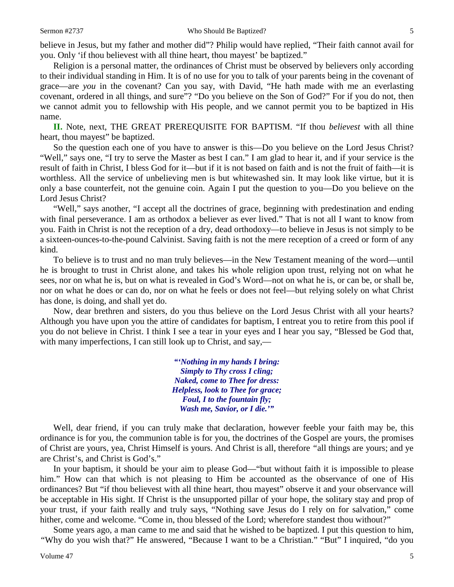believe in Jesus, but my father and mother did"? Philip would have replied, "Their faith cannot avail for you. Only 'if thou believest with all thine heart, thou mayest' be baptized."

Religion is a personal matter, the ordinances of Christ must be observed by believers only according to their individual standing in Him. It is of no use for you to talk of your parents being in the covenant of grace—are *you* in the covenant? Can you say, with David, "He hath made with me an everlasting covenant, ordered in all things, and sure"? "Do you believe on the Son of God?" For if you do not, then we cannot admit you to fellowship with His people, and we cannot permit you to be baptized in His name.

**II.** Note, next, THE GREAT PREREQUISITE FOR BAPTISM. "If thou *believest* with all thine heart, thou mayest" be baptized.

So the question each one of you have to answer is this—Do you believe on the Lord Jesus Christ? "Well," says one, "I try to serve the Master as best I can." I am glad to hear it, and if your service is the result of faith in Christ, I bless God for it—but if it is not based on faith and is not the fruit of faith—it is worthless. All the service of unbelieving men is but whitewashed sin. It may look like virtue, but it is only a base counterfeit, not the genuine coin. Again I put the question to you—Do you believe on the Lord Jesus Christ?

"Well," says another, "I accept all the doctrines of grace, beginning with predestination and ending with final perseverance. I am as orthodox a believer as ever lived." That is not all I want to know from you. Faith in Christ is not the reception of a dry, dead orthodoxy—to believe in Jesus is not simply to be a sixteen-ounces-to-the-pound Calvinist. Saving faith is not the mere reception of a creed or form of any kind.

To believe is to trust and no man truly believes—in the New Testament meaning of the word—until he is brought to trust in Christ alone, and takes his whole religion upon trust, relying not on what he sees, nor on what he is, but on what is revealed in God's Word—not on what he is, or can be, or shall be, nor on what he does or can do, nor on what he feels or does not feel—but relying solely on what Christ has done, is doing, and shall yet do.

Now, dear brethren and sisters, do you thus believe on the Lord Jesus Christ with all your hearts? Although you have upon you the attire of candidates for baptism, I entreat you to retire from this pool if you do not believe in Christ. I think I see a tear in your eyes and I hear you say, "Blessed be God that, with many imperfections, I can still look up to Christ, and say,—

> *"'Nothing in my hands I bring: Simply to Thy cross I cling; Naked, come to Thee for dress: Helpless, look to Thee for grace; Foul, I to the fountain fly; Wash me, Savior, or I die.'"*

Well, dear friend, if you can truly make that declaration, however feeble your faith may be, this ordinance is for you, the communion table is for you, the doctrines of the Gospel are yours, the promises of Christ are yours, yea, Christ Himself is yours. And Christ is all, therefore *"*all things are yours; and ye are Christ's, and Christ is God's."

In your baptism, it should be your aim to please God—"but without faith it is impossible to please him." How can that which is not pleasing to Him be accounted as the observance of one of His ordinances? But "if thou believest with all thine heart, thou mayest" observe it and your observance will be acceptable in His sight. If Christ is the unsupported pillar of your hope, the solitary stay and prop of your trust, if your faith really and truly says, "Nothing save Jesus do I rely on for salvation," come hither, come and welcome. "Come in, thou blessed of the Lord; wherefore standest thou without?"

Some years ago, a man came to me and said that he wished to be baptized. I put this question to him, *"*Why do you wish that?" He answered, "Because I want to be a Christian." "But" I inquired, "do you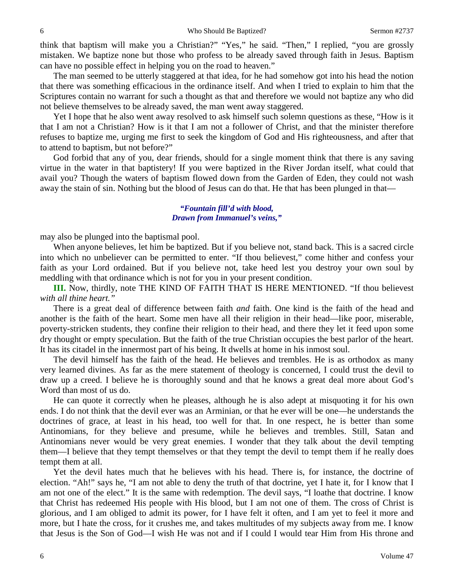think that baptism will make you a Christian?" "Yes," he said. "Then," I replied, "you are grossly mistaken. We baptize none but those who profess to be already saved through faith in Jesus. Baptism can have no possible effect in helping you on the road to heaven."

The man seemed to be utterly staggered at that idea, for he had somehow got into his head the notion that there was something efficacious in the ordinance itself. And when I tried to explain to him that the Scriptures contain no warrant for such a thought as that and therefore we would not baptize any who did not believe themselves to be already saved, the man went away staggered.

Yet I hope that he also went away resolved to ask himself such solemn questions as these, "How is it that I am not a Christian? How is it that I am not a follower of Christ, and that the minister therefore refuses to baptize me, urging me first to seek the kingdom of God and His righteousness, and after that to attend to baptism, but not before?"

God forbid that any of you, dear friends, should for a single moment think that there is any saving virtue in the water in that baptistery! If you were baptized in the River Jordan itself, what could that avail you? Though the waters of baptism flowed down from the Garden of Eden, they could not wash away the stain of sin. Nothing but the blood of Jesus can do that. He that has been plunged in that—

#### *"Fountain fill'd with blood, Drawn from Immanuel's veins,"*

may also be plunged into the baptismal pool.

When anyone believes, let him be baptized. But if you believe not, stand back. This is a sacred circle into which no unbeliever can be permitted to enter. "If thou believest," come hither and confess your faith as your Lord ordained. But if you believe not, take heed lest you destroy your own soul by meddling with that ordinance which is not for you in your present condition.

**III.** Now, thirdly, note THE KIND OF FAITH THAT IS HERE MENTIONED. "If thou believest *with all thine heart."*

There is a great deal of difference between faith *and* faith. One kind is the faith of the head and another is the faith of the heart. Some men have all their religion in their head—like poor, miserable, poverty-stricken students, they confine their religion to their head, and there they let it feed upon some dry thought or empty speculation. But the faith of the true Christian occupies the best parlor of the heart. It has its citadel in the innermost part of his being. It dwells at home in his inmost soul.

The devil himself has the faith of the head. He believes and trembles. He is as orthodox as many very learned divines. As far as the mere statement of theology is concerned, I could trust the devil to draw up a creed. I believe he is thoroughly sound and that he knows a great deal more about God's Word than most of us do.

He can quote it correctly when he pleases, although he is also adept at misquoting it for his own ends. I do not think that the devil ever was an Arminian, or that he ever will be one—he understands the doctrines of grace, at least in his head, too well for that. In one respect, he is better than some Antinomians, for they believe and presume, while he believes and trembles. Still, Satan and Antinomians never would be very great enemies. I wonder that they talk about the devil tempting them—I believe that they tempt themselves or that they tempt the devil to tempt them if he really does tempt them at all.

Yet the devil hates much that he believes with his head. There is, for instance, the doctrine of election. "Ah!" says he, "I am not able to deny the truth of that doctrine, yet I hate it, for I know that I am not one of the elect." It is the same with redemption. The devil says, "I loathe that doctrine. I know that Christ has redeemed His people with His blood, but I am not one of them. The cross of Christ is glorious, and I am obliged to admit its power, for I have felt it often, and I am yet to feel it more and more, but I hate the cross, for it crushes me, and takes multitudes of my subjects away from me. I know that Jesus is the Son of God—I wish He was not and if I could I would tear Him from His throne and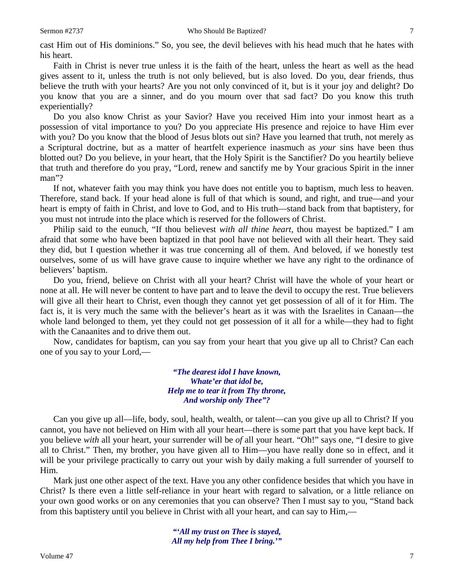cast Him out of His dominions." So, you see, the devil believes with his head much that he hates with his heart.

Faith in Christ is never true unless it is the faith of the heart, unless the heart as well as the head gives assent to it, unless the truth is not only believed, but is also loved. Do you, dear friends, thus believe the truth with your hearts? Are you not only convinced of it, but is it your joy and delight? Do you know that you are a sinner, and do you mourn over that sad fact? Do you know this truth experientially?

Do you also know Christ as your Savior? Have you received Him into your inmost heart as a possession of vital importance to you? Do you appreciate His presence and rejoice to have Him ever with you? Do you know that the blood of Jesus blots out sin? Have you learned that truth, not merely as a Scriptural doctrine, but as a matter of heartfelt experience inasmuch as *your* sins have been thus blotted out? Do you believe, in your heart, that the Holy Spirit is the Sanctifier? Do you heartily believe that truth and therefore do you pray, "Lord, renew and sanctify me by Your gracious Spirit in the inner man"?

If not, whatever faith you may think you have does not entitle you to baptism, much less to heaven. Therefore, stand back. If your head alone is full of that which is sound, and right, and true—and your heart is empty of faith in Christ, and love to God, and to His truth—stand back from that baptistery, for you must not intrude into the place which is reserved for the followers of Christ.

Philip said to the eunuch, "If thou believest *with all thine heart,* thou mayest be baptized." I am afraid that some who have been baptized in that pool have not believed with all their heart. They said they did, but I question whether it was true concerning all of them. And beloved, if we honestly test ourselves, some of us will have grave cause to inquire whether we have any right to the ordinance of believers' baptism.

Do you, friend, believe on Christ with all your heart? Christ will have the whole of your heart or none at all. He will never be content to have part and to leave the devil to occupy the rest. True believers will give all their heart to Christ, even though they cannot yet get possession of all of it for Him. The fact is, it is very much the same with the believer's heart as it was with the Israelites in Canaan—the whole land belonged to them, yet they could not get possession of it all for a while—they had to fight with the Canaanites and to drive them out.

Now, candidates for baptism, can you say from your heart that you give up all to Christ? Can each one of you say to your Lord,—

> *"The dearest idol I have known, Whate'er that idol be, Help me to tear it from Thy throne, And worship only Thee"?*

Can you give up all—life, body, soul, health, wealth, or talent—can you give up all to Christ? If you cannot, you have not believed on Him with all your heart—there is some part that you have kept back. If you believe *with* all your heart, your surrender will be *of* all your heart. "Oh!" says one, "I desire to give all to Christ." Then, my brother, you have given all to Him—you have really done so in effect, and it will be your privilege practically to carry out your wish by daily making a full surrender of yourself to Him.

Mark just one other aspect of the text. Have you any other confidence besides that which you have in Christ? Is there even a little self-reliance in your heart with regard to salvation, or a little reliance on your own good works or on any ceremonies that you can observe? Then I must say to you, "Stand back from this baptistery until you believe in Christ with all your heart, and can say to Him,—

> *"'All my trust on Thee is stayed, All my help from Thee I bring.'"*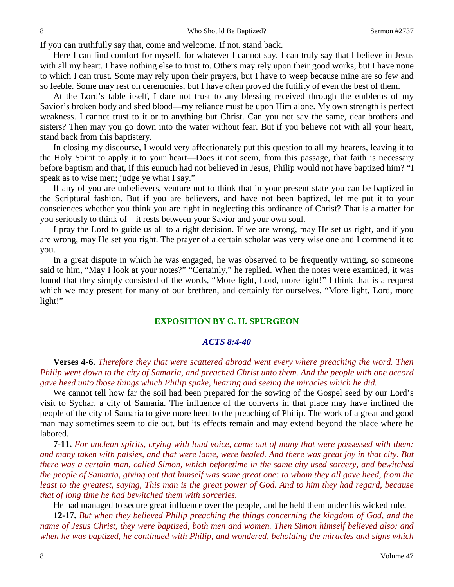If you can truthfully say that, come and welcome. If not, stand back.

Here I can find comfort for myself, for whatever I cannot say, I can truly say that I believe in Jesus with all my heart. I have nothing else to trust to. Others may rely upon their good works, but I have none to which I can trust. Some may rely upon their prayers, but I have to weep because mine are so few and so feeble. Some may rest on ceremonies, but I have often proved the futility of even the best of them.

At the Lord's table itself, I dare not trust to any blessing received through the emblems of my Savior's broken body and shed blood—my reliance must be upon Him alone. My own strength is perfect weakness. I cannot trust to it or to anything but Christ. Can you not say the same, dear brothers and sisters? Then may you go down into the water without fear. But if you believe not with all your heart, stand back from this baptistery.

In closing my discourse, I would very affectionately put this question to all my hearers, leaving it to the Holy Spirit to apply it to your heart—Does it not seem, from this passage, that faith is necessary before baptism and that, if this eunuch had not believed in Jesus, Philip would not have baptized him? "I speak as to wise men; judge ye what I say."

If any of you are unbelievers, venture not to think that in your present state you can be baptized in the Scriptural fashion. But if you are believers, and have not been baptized, let me put it to your consciences whether you think you are right in neglecting this ordinance of Christ? That is a matter for you seriously to think of—it rests between your Savior and your own soul.

I pray the Lord to guide us all to a right decision. If we are wrong, may He set us right, and if you are wrong, may He set you right. The prayer of a certain scholar was very wise one and I commend it to you.

In a great dispute in which he was engaged, he was observed to be frequently writing, so someone said to him, "May I look at your notes?" "Certainly," he replied. When the notes were examined, it was found that they simply consisted of the words, "More light, Lord, more light!" I think that is a request which we may present for many of our brethren, and certainly for ourselves, "More light, Lord, more light!"

### **EXPOSITION BY C. H. SPURGEON**

#### *ACTS 8:4-40*

**Verses 4-6.** *Therefore they that were scattered abroad went every where preaching the word. Then Philip went down to the city of Samaria, and preached Christ unto them. And the people with one accord gave heed unto those things which Philip spake, hearing and seeing the miracles which he did.*

We cannot tell how far the soil had been prepared for the sowing of the Gospel seed by our Lord's visit to Sychar, a city of Samaria. The influence of the converts in that place may have inclined the people of the city of Samaria to give more heed to the preaching of Philip. The work of a great and good man may sometimes seem to die out, but its effects remain and may extend beyond the place where he labored.

**7-11.** *For unclean spirits, crying with loud voice, came out of many that were possessed with them: and many taken with palsies, and that were lame, were healed. And there was great joy in that city. But there was a certain man, called Simon, which beforetime in the same city used sorcery, and bewitched the people of Samaria, giving out that himself was some great one: to whom they all gave heed, from the least to the greatest, saying, This man is the great power of God. And to him they had regard, because that of long time he had bewitched them with sorceries.*

He had managed to secure great influence over the people, and he held them under his wicked rule.

**12-17.** *But when they believed Philip preaching the things concerning the kingdom of God, and the name of Jesus Christ, they were baptized, both men and women. Then Simon himself believed also: and when he was baptized, he continued with Philip, and wondered, beholding the miracles and signs which*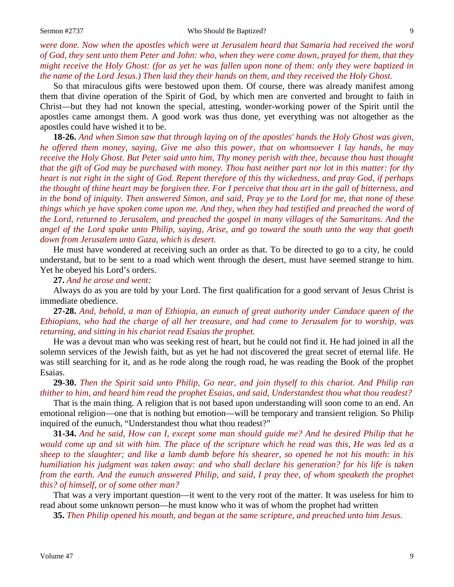*were done. Now when the apostles which were at Jerusalem heard that Samaria had received the word of God, they sent unto them Peter and John: who, when they were come down, prayed for them, that they might receive the Holy Ghost: (for as yet he was fallen upon none of them: only they were baptized in the name of the Lord Jesus.) Then laid they their hands on them, and they received the Holy Ghost.*

So that miraculous gifts were bestowed upon them. Of course, there was already manifest among them that divine operation of the Spirit of God, by which men are converted and brought to faith in Christ—but they had not known the special, attesting, wonder-working power of the Spirit until the apostles came amongst them. A good work was thus done, yet everything was not altogether as the apostles could have wished it to be.

**18-26.** *And when Simon saw that through laying on of the apostles' hands the Holy Ghost was given, he offered them money, saying, Give me also this power, that on whomsoever I lay hands, he may receive the Holy Ghost. But Peter said unto him, Thy money perish with thee, because thou hast thought that the gift of God may be purchased with money. Thou hast neither part nor lot in this matter: for thy heart is not right in the sight of God. Repent therefore of this thy wickedness, and pray God, if perhaps the thought of thine heart may be forgiven thee. For I perceive that thou art in the gall of bitterness, and in the bond of iniquity. Then answered Simon, and said, Pray ye to the Lord for me, that none of these things which ye have spoken come upon me. And they, when they had testified and preached the word of the Lord, returned to Jerusalem, and preached the gospel in many villages of the Samaritans. And the angel of the Lord spake unto Philip, saying, Arise, and go toward the south unto the way that goeth down from Jerusalem unto Gaza, which is desert.*

He must have wondered at receiving such an order as that. To be directed to go to a city, he could understand, but to be sent to a road which went through the desert, must have seemed strange to him. Yet he obeyed his Lord's orders.

**27.** *And he arose and went:*

Always do as you are told by your Lord. The first qualification for a good servant of Jesus Christ is immediate obedience.

**27-28.** *And, behold, a man of Ethiopia, an eunuch of great authority under Candace queen of the Ethiopians, who had the charge of all her treasure, and had come to Jerusalem for to worship, was returning, and sitting in his chariot read Esaias the prophet.*

He was a devout man who was seeking rest of heart, but he could not find it. He had joined in all the solemn services of the Jewish faith, but as yet he had not discovered the great secret of eternal life. He was still searching for it, and as he rode along the rough road, he was reading the Book of the prophet Esaias.

**29-30.** *Then the Spirit said unto Philip, Go near, and join thyself to this chariot. And Philip ran thither to him, and heard him read the prophet Esaias, and said, Understandest thou what thou readest?*

That is the main thing. A religion that is not based upon understanding will soon come to an end. An emotional religion—one that is nothing but emotion—will be temporary and transient religion. So Philip inquired of the eunuch, "Understandest thou what thou readest?"

**31-34.** *And he said, How can I, except some man should guide me? And he desired Philip that he would come up and sit with him. The place of the scripture which he read was this, He was led as a sheep to the slaughter; and like a lamb dumb before his shearer, so opened he not his mouth: in his humiliation his judgment was taken away: and who shall declare his generation? for his life is taken from the earth. And the eunuch answered Philip, and said, I pray thee, of whom speaketh the prophet this? of himself, or of some other man?*

That was a very important question—it went to the very root of the matter. It was useless for him to read about some unknown person—he must know who it was of whom the prophet had written

**35.** *Then Philip opened his mouth, and began at the same scripture, and preached unto him Jesus.*